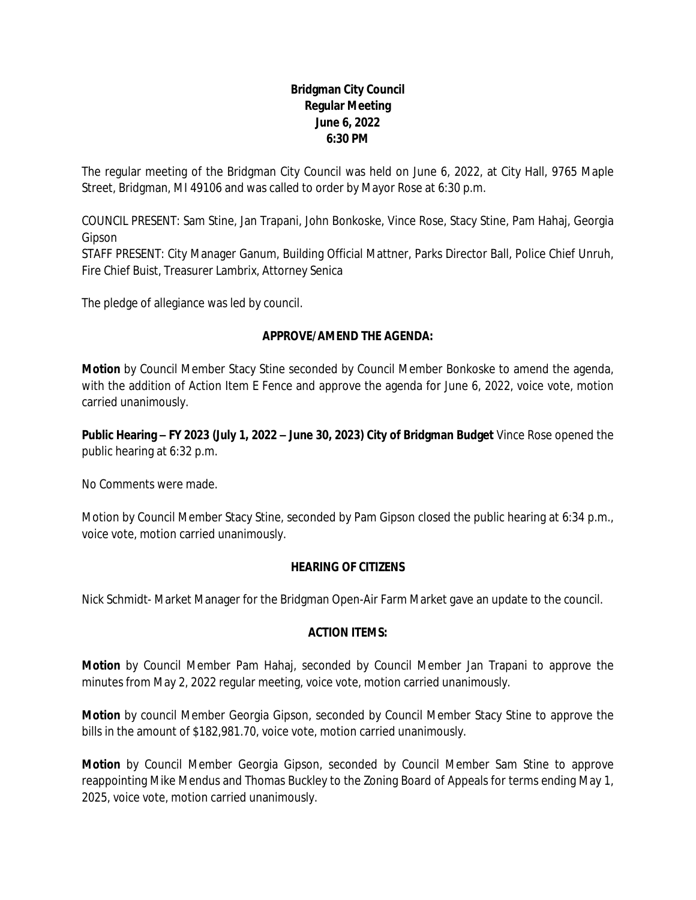# **Bridgman City Council Regular Meeting June 6, 2022 6:30 PM**

The regular meeting of the Bridgman City Council was held on June 6, 2022, at City Hall, 9765 Maple Street, Bridgman, MI 49106 and was called to order by Mayor Rose at 6:30 p.m.

COUNCIL PRESENT: Sam Stine, Jan Trapani, John Bonkoske, Vince Rose, Stacy Stine, Pam Hahaj, Georgia Gipson

STAFF PRESENT: City Manager Ganum, Building Official Mattner, Parks Director Ball, Police Chief Unruh, Fire Chief Buist, Treasurer Lambrix, Attorney Senica

The pledge of allegiance was led by council.

# **APPROVE/AMEND THE AGENDA:**

**Motion** by Council Member Stacy Stine seconded by Council Member Bonkoske to amend the agenda, with the addition of Action Item E Fence and approve the agenda for June 6, 2022, voice vote, motion carried unanimously.

**Public Hearing – FY 2023 (July 1, 2022 – June 30, 2023) City of Bridgman Budget** Vince Rose opened the public hearing at 6:32 p.m.

No Comments were made.

Motion by Council Member Stacy Stine, seconded by Pam Gipson closed the public hearing at 6:34 p.m., voice vote, motion carried unanimously.

#### **HEARING OF CITIZENS**

Nick Schmidt- Market Manager for the Bridgman Open-Air Farm Market gave an update to the council.

# **ACTION ITEMS:**

**Motion** by Council Member Pam Hahaj, seconded by Council Member Jan Trapani to approve the minutes from May 2, 2022 regular meeting, voice vote, motion carried unanimously.

**Motion** by council Member Georgia Gipson, seconded by Council Member Stacy Stine to approve the bills in the amount of \$182,981.70, voice vote, motion carried unanimously.

**Motion** by Council Member Georgia Gipson, seconded by Council Member Sam Stine to approve reappointing Mike Mendus and Thomas Buckley to the Zoning Board of Appeals for terms ending May 1, 2025, voice vote, motion carried unanimously.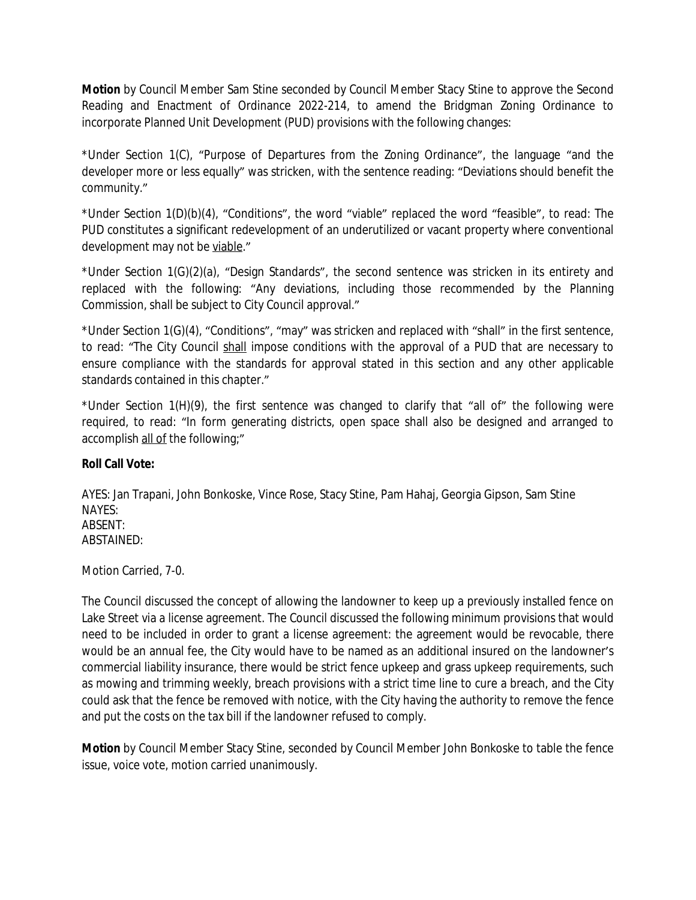**Motion** by Council Member Sam Stine seconded by Council Member Stacy Stine to approve the Second Reading and Enactment of Ordinance 2022-214, to amend the Bridgman Zoning Ordinance to incorporate Planned Unit Development (PUD) provisions with the following changes:

\*Under Section 1(C), "Purpose of Departures from the Zoning Ordinance", the language "and the developer more or less equally" was stricken, with the sentence reading: "Deviations should benefit the community."

\*Under Section 1(D)(b)(4), "Conditions", the word "viable" replaced the word "feasible", to read: The PUD constitutes a significant redevelopment of an underutilized or vacant property where conventional development may not be viable."

\*Under Section 1(G)(2)(a), "Design Standards", the second sentence was stricken in its entirety and replaced with the following: "Any deviations, including those recommended by the Planning Commission, shall be subject to City Council approval."

\*Under Section 1(G)(4), "Conditions", "may" was stricken and replaced with "shall" in the first sentence, to read: "The City Council shall impose conditions with the approval of a PUD that are necessary to ensure compliance with the standards for approval stated in this section and any other applicable standards contained in this chapter."

\*Under Section 1(H)(9), the first sentence was changed to clarify that "all of" the following were required, to read: "In form generating districts, open space shall also be designed and arranged to accomplish all of the following;"

#### **Roll Call Vote:**

AYES: Jan Trapani, John Bonkoske, Vince Rose, Stacy Stine, Pam Hahaj, Georgia Gipson, Sam Stine NAYES: ABSENT: ABSTAINED:

Motion Carried, 7-0.

The Council discussed the concept of allowing the landowner to keep up a previously installed fence on Lake Street via a license agreement. The Council discussed the following minimum provisions that would need to be included in order to grant a license agreement: the agreement would be revocable, there would be an annual fee, the City would have to be named as an additional insured on the landowner's commercial liability insurance, there would be strict fence upkeep and grass upkeep requirements, such as mowing and trimming weekly, breach provisions with a strict time line to cure a breach, and the City could ask that the fence be removed with notice, with the City having the authority to remove the fence and put the costs on the tax bill if the landowner refused to comply.

**Motion** by Council Member Stacy Stine, seconded by Council Member John Bonkoske to table the fence issue, voice vote, motion carried unanimously.